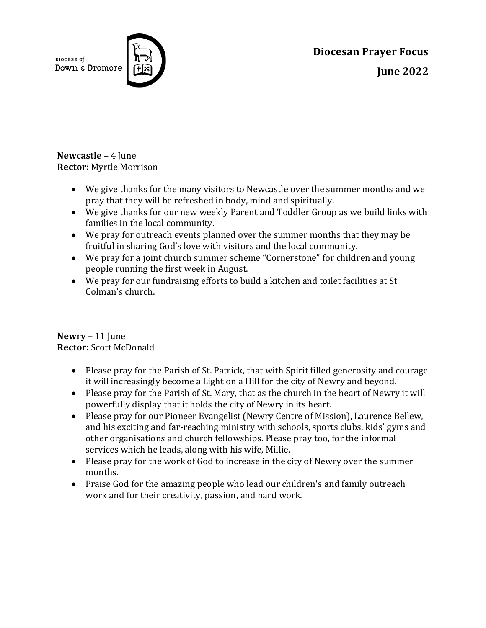DIOCESE of Down & Dromore



**Diocesan Prayer Focus June 2022**

**Newcastle** – 4 June **Rector:** Myrtle Morrison

- We give thanks for the many visitors to Newcastle over the summer months and we pray that they will be refreshed in body, mind and spiritually.
- We give thanks for our new weekly Parent and Toddler Group as we build links with families in the local community.
- We pray for outreach events planned over the summer months that they may be fruitful in sharing God's love with visitors and the local community.
- We pray for a joint church summer scheme "Cornerstone" for children and young people running the first week in August.
- We pray for our fundraising efforts to build a kitchen and toilet facilities at St Colman's church.

## **Newry** – 11 June **Rector:** Scott McDonald

- Please pray for the Parish of St. Patrick, that with Spirit filled generosity and courage it will increasingly become a Light on a Hill for the city of Newry and beyond.
- Please pray for the Parish of St. Mary, that as the church in the heart of Newry it will powerfully display that it holds the city of Newry in its heart.
- Please pray for our Pioneer Evangelist (Newry Centre of Mission), Laurence Bellew, and his exciting and far-reaching ministry with schools, sports clubs, kids' gyms and other organisations and church fellowships. Please pray too, for the informal services which he leads, along with his wife, Millie.
- Please pray for the work of God to increase in the city of Newry over the summer months.
- Praise God for the amazing people who lead our children's and family outreach work and for their creativity, passion, and hard work.